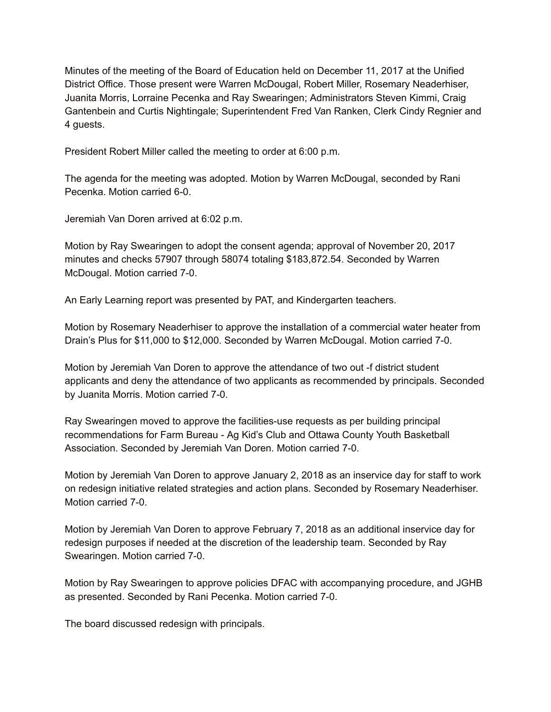Minutes of the meeting of the Board of Education held on December 11, 2017 at the Unified District Office. Those present were Warren McDougal, Robert Miller, Rosemary Neaderhiser, Juanita Morris, Lorraine Pecenka and Ray Swearingen; Administrators Steven Kimmi, Craig Gantenbein and Curtis Nightingale; Superintendent Fred Van Ranken, Clerk Cindy Regnier and 4 guests.

President Robert Miller called the meeting to order at 6:00 p.m.

The agenda for the meeting was adopted. Motion by Warren McDougal, seconded by Rani Pecenka. Motion carried 6-0.

Jeremiah Van Doren arrived at 6:02 p.m.

Motion by Ray Swearingen to adopt the consent agenda; approval of November 20, 2017 minutes and checks 57907 through 58074 totaling \$183,872.54. Seconded by Warren McDougal. Motion carried 7-0.

An Early Learning report was presented by PAT, and Kindergarten teachers.

Motion by Rosemary Neaderhiser to approve the installation of a commercial water heater from Drain's Plus for \$11,000 to \$12,000. Seconded by Warren McDougal. Motion carried 7-0.

Motion by Jeremiah Van Doren to approve the attendance of two out -f district student applicants and deny the attendance of two applicants as recommended by principals. Seconded by Juanita Morris. Motion carried 7-0.

Ray Swearingen moved to approve the facilities-use requests as per building principal recommendations for Farm Bureau - Ag Kid's Club and Ottawa County Youth Basketball Association. Seconded by Jeremiah Van Doren. Motion carried 7-0.

Motion by Jeremiah Van Doren to approve January 2, 2018 as an inservice day for staff to work on redesign initiative related strategies and action plans. Seconded by Rosemary Neaderhiser. Motion carried 7-0.

Motion by Jeremiah Van Doren to approve February 7, 2018 as an additional inservice day for redesign purposes if needed at the discretion of the leadership team. Seconded by Ray Swearingen. Motion carried 7-0.

Motion by Ray Swearingen to approve policies DFAC with accompanying procedure, and JGHB as presented. Seconded by Rani Pecenka. Motion carried 7-0.

The board discussed redesign with principals.